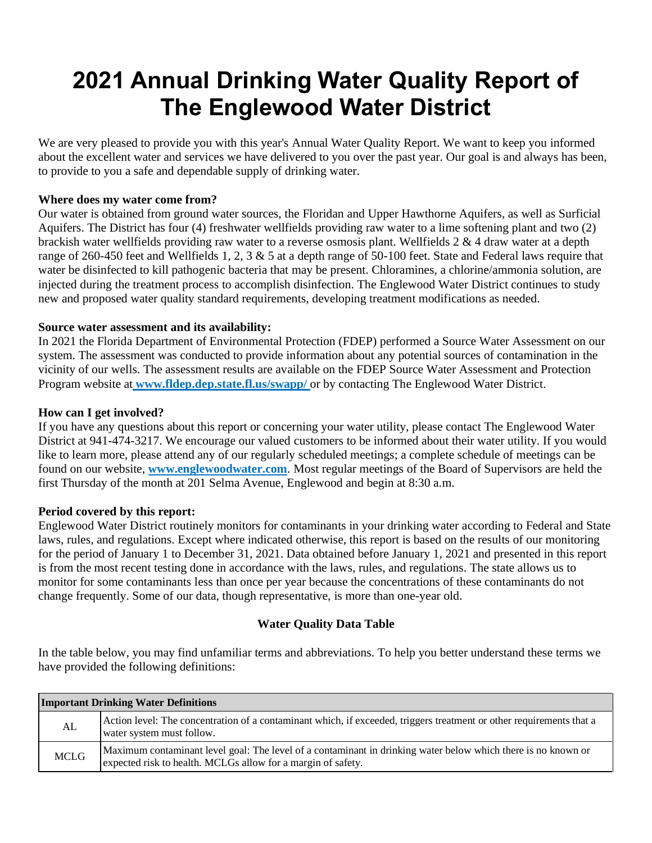# **2021 Annual Drinking Water Quality Report of The Englewood Water District**

We are very pleased to provide you with this year's Annual Water Quality Report. We want to keep you informed about the excellent water and services we have delivered to you over the past year. Our goal is and always has been, to provide to you a safe and dependable supply of drinking water.

### **Where does my water come from?**

Our water is obtained from ground water sources, the Floridan and Upper Hawthorne Aquifers, as well as Surficial Aquifers. The District has four (4) freshwater wellfields providing raw water to a lime softening plant and two (2) brackish water wellfields providing raw water to a reverse osmosis plant. Wellfields  $2 \& 4$  draw water at a depth range of 260-450 feet and Wellfields 1, 2, 3 & 5 at a depth range of 50-100 feet. State and Federal laws require that water be disinfected to kill pathogenic bacteria that may be present. Chloramines, a chlorine/ammonia solution, are injected during the treatment process to accomplish disinfection. The Englewood Water District continues to study new and proposed water quality standard requirements, developing treatment modifications as needed.

#### **Source water assessment and its availability:**

In 2021 the Florida Department of Environmental Protection (FDEP) performed a Source Water Assessment on our system. The assessment was conducted to provide information about any potential sources of contamination in the vicinity of our wells. The assessment results are available on the FDEP Source Water Assessment and Protection Program website at **www.fldep.dep.state.fl.us/swapp/** or by contacting The Englewood Water District.

#### **How can I get involved?**

If you have any questions about this report or concerning your water utility, please contact The Englewood Water District at 941-474-3217. We encourage our valued customers to be informed about their water utility. If you would like to learn more, please attend any of our regularly scheduled meetings; a complete schedule of meetings can be found on our website, **www.englewoodwater.com**. Most regular meetings of the Board of Supervisors are held the first Thursday of the month at 201 Selma Avenue, Englewood and begin at 8:30 a.m.

#### **Period covered by this report:**

Englewood Water District routinely monitors for contaminants in your drinking water according to Federal and State laws, rules, and regulations. Except where indicated otherwise, this report is based on the results of our monitoring for the period of January 1 to December 31, 2021. Data obtained before January 1, 2021 and presented in this report is from the most recent testing done in accordance with the laws, rules, and regulations. The state allows us to monitor for some contaminants less than once per year because the concentrations of these contaminants do not change frequently. Some of our data, though representative, is more than one-year old.

### **Water Quality Data Table**

In the table below, you may find unfamiliar terms and abbreviations. To help you better understand these terms we have provided the following definitions:

| <b>Important Drinking Water Definitions</b> |                                                                                                                                                                               |  |  |  |  |
|---------------------------------------------|-------------------------------------------------------------------------------------------------------------------------------------------------------------------------------|--|--|--|--|
| AL                                          | Action level: The concentration of a contaminant which, if exceeded, triggers treatment or other requirements that a<br>water system must follow.                             |  |  |  |  |
| <b>MCLG</b>                                 | Maximum contaminant level goal: The level of a contaminant in drinking water below which there is no known or<br>expected risk to health. MCLGs allow for a margin of safety. |  |  |  |  |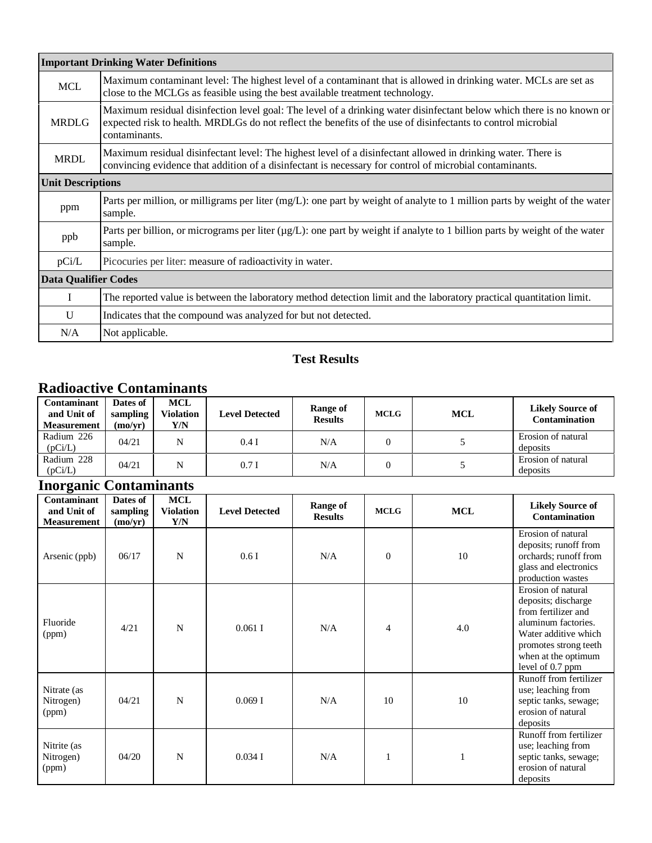|                             | <b>Important Drinking Water Definitions</b>                                                                                                                                                                                                            |
|-----------------------------|--------------------------------------------------------------------------------------------------------------------------------------------------------------------------------------------------------------------------------------------------------|
| <b>MCL</b>                  | Maximum contaminant level: The highest level of a contaminant that is allowed in drinking water. MCLs are set as<br>close to the MCLGs as feasible using the best available treatment technology.                                                      |
| <b>MRDLG</b>                | Maximum residual disinfection level goal: The level of a drinking water disinfectant below which there is no known or<br>expected risk to health. MRDLGs do not reflect the benefits of the use of disinfectants to control microbial<br>contaminants. |
| <b>MRDL</b>                 | Maximum residual disinfectant level: The highest level of a disinfectant allowed in drinking water. There is<br>convincing evidence that addition of a disinfectant is necessary for control of microbial contaminants.                                |
| <b>Unit Descriptions</b>    |                                                                                                                                                                                                                                                        |
| ppm                         | Parts per million, or milligrams per liter (mg/L): one part by weight of analyte to 1 million parts by weight of the water<br>sample.                                                                                                                  |
| ppb                         | Parts per billion, or micrograms per liter ( $\mu g/L$ ): one part by weight if analyte to 1 billion parts by weight of the water<br>sample.                                                                                                           |
| pCi/L                       | Picocuries per liter: measure of radioactivity in water.                                                                                                                                                                                               |
| <b>Data Qualifier Codes</b> |                                                                                                                                                                                                                                                        |
| L                           | The reported value is between the laboratory method detection limit and the laboratory practical quantitation limit.                                                                                                                                   |
| U                           | Indicates that the compound was analyzed for but not detected.                                                                                                                                                                                         |
| N/A                         | Not applicable.                                                                                                                                                                                                                                        |

### **Test Results**

### **Radioactive Contaminants**

| <b>Contaminant</b><br>and Unit of<br><b>Measurement</b> | Dates of<br>sampling<br>(mo/vr) | <b>MCL</b><br><b>Violation</b><br>Y/N | <b>Level Detected</b> | Range of<br><b>Results</b> | <b>MCLG</b> | <b>MCL</b> | <b>Likely Source of</b><br><b>Contamination</b> |
|---------------------------------------------------------|---------------------------------|---------------------------------------|-----------------------|----------------------------|-------------|------------|-------------------------------------------------|
| Radium 226<br>(pCi/L)                                   | 04/21                           | N                                     | 0.4I                  | N/A                        |             |            | Erosion of natural<br>deposits                  |
| Radium 228<br>(pCi/L)                                   | 04/21                           | N                                     | 0.7I                  | N/A                        |             |            | Erosion of natural<br>deposits                  |

## **Inorganic Contaminants**

| Contaminant<br>and Unit of<br><b>Measurement</b> | Dates of<br>sampling<br>(mo/yr) | <b>MCL</b><br><b>Violation</b><br>Y/N | <b>Level Detected</b> | <b>Range of</b><br><b>Results</b> | <b>MCLG</b>    | <b>MCL</b> | <b>Likely Source of</b><br>Contamination                                                                                                                                            |
|--------------------------------------------------|---------------------------------|---------------------------------------|-----------------------|-----------------------------------|----------------|------------|-------------------------------------------------------------------------------------------------------------------------------------------------------------------------------------|
| Arsenic (ppb)                                    | 06/17                           | N                                     | 0.6I                  | N/A                               | $\theta$       | 10         | Erosion of natural<br>deposits; runoff from<br>orchards; runoff from<br>glass and electronics<br>production wastes                                                                  |
| Fluoride<br>(ppm)                                | 4/21                            | N                                     | $0.061$ I             | N/A                               | $\overline{4}$ | 4.0        | Erosion of natural<br>deposits; discharge<br>from fertilizer and<br>aluminum factories.<br>Water additive which<br>promotes strong teeth<br>when at the optimum<br>level of 0.7 ppm |
| Nitrate (as<br>Nitrogen)<br>(ppm)                | 04/21                           | N                                     | 0.069I                | N/A                               | 10             | 10         | Runoff from fertilizer<br>use; leaching from<br>septic tanks, sewage;<br>erosion of natural<br>deposits                                                                             |
| Nitrite (as<br>Nitrogen)<br>(ppm)                | 04/20                           | N                                     | $0.034$ I             | N/A                               | $\mathbf{1}$   |            | Runoff from fertilizer<br>use; leaching from<br>septic tanks, sewage;<br>erosion of natural<br>deposits                                                                             |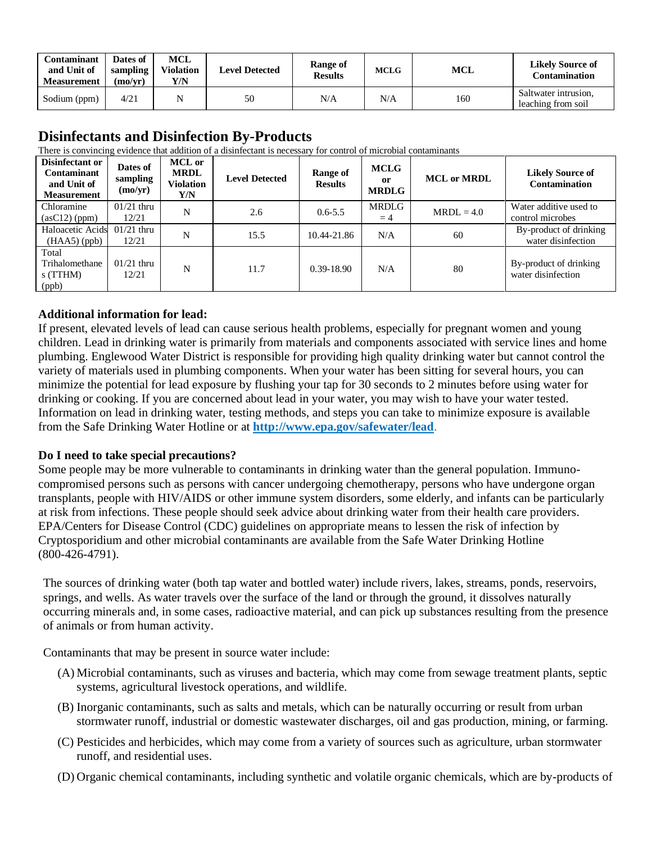| Contaminant<br>and Unit of<br><b>Measurement</b> | Dates of<br>sampling<br>(mo/vr) | MCL<br>Violation<br>Y/N | <b>Level Detected</b> | Range of<br><b>Results</b> | <b>MCLG</b> | <b>MCL</b> | <b>Likely Source of</b><br>Contamination   |
|--------------------------------------------------|---------------------------------|-------------------------|-----------------------|----------------------------|-------------|------------|--------------------------------------------|
| Sodium (ppm)                                     | 4/21                            |                         | 50                    | N/A                        | N/A         | 160        | Saltwater intrusion,<br>leaching from soil |

### **Disinfectants and Disinfection By-Products**

There is convincing evidence that addition of a disinfectant is necessary for control of microbial contaminants

| Disinfectant or<br><b>Contaminant</b><br>and Unit of<br><b>Measurement</b> | Dates of<br>sampling<br>(mo/yr) | <b>MCL</b> or<br><b>MRDL</b><br>Violation<br>Y/N | <b>Level Detected</b> | Range of<br><b>Results</b> | <b>MCLG</b><br><sub>0</sub> r<br><b>MRDLG</b> | <b>MCL</b> or <b>MRDL</b> | <b>Likely Source of</b><br><b>Contamination</b> |
|----------------------------------------------------------------------------|---------------------------------|--------------------------------------------------|-----------------------|----------------------------|-----------------------------------------------|---------------------------|-------------------------------------------------|
| Chloramine<br>(asC12) (ppm)                                                | $01/21$ thru<br>12/21           | N                                                | 2.6                   | $0.6 - 5.5$                | <b>MRDLG</b><br>$=4$                          | $MRDL = 4.0$              | Water additive used to<br>control microbes      |
| Haloacetic Acids 01/21 thru<br>$(HAA5)$ (ppb)                              | 12/21                           | N                                                | 15.5                  | 10.44-21.86                | N/A                                           | 60                        | By-product of drinking<br>water disinfection    |
| Total<br>Trihalomethane<br>$s$ (TTHM)<br>(ppb)                             | $01/21$ thru<br>12/21           | N                                                | 11.7                  | $0.39 - 18.90$             | N/A                                           | 80                        | By-product of drinking<br>water disinfection    |

### **Additional information for lead:**

If present, elevated levels of lead can cause serious health problems, especially for pregnant women and young children. Lead in drinking water is primarily from materials and components associated with service lines and home plumbing. Englewood Water District is responsible for providing high quality drinking water but cannot control the variety of materials used in plumbing components. When your water has been sitting for several hours, you can minimize the potential for lead exposure by flushing your tap for 30 seconds to 2 minutes before using water for drinking or cooking. If you are concerned about lead in your water, you may wish to have your water tested. Information on lead in drinking water, testing methods, and steps you can take to minimize exposure is available from the Safe Drinking Water Hotline or at **<http://www.epa.gov/safewater/lead>**.

### **Do I need to take special precautions?**

Some people may be more vulnerable to contaminants in drinking water than the general population. Immunocompromised persons such as persons with cancer undergoing chemotherapy, persons who have undergone organ transplants, people with HIV/AIDS or other immune system disorders, some elderly, and infants can be particularly at risk from infections. These people should seek advice about drinking water from their health care providers. EPA/Centers for Disease Control (CDC) guidelines on appropriate means to lessen the risk of infection by Cryptosporidium and other microbial contaminants are available from the Safe Water Drinking Hotline (800-426-4791).

The sources of drinking water (both tap water and bottled water) include rivers, lakes, streams, ponds, reservoirs, springs, and wells. As water travels over the surface of the land or through the ground, it dissolves naturally occurring minerals and, in some cases, radioactive material, and can pick up substances resulting from the presence of animals or from human activity.

Contaminants that may be present in source water include:

- (A) Microbial contaminants, such as viruses and bacteria, which may come from sewage treatment plants, septic systems, agricultural livestock operations, and wildlife.
- (B) Inorganic contaminants, such as salts and metals, which can be naturally occurring or result from urban stormwater runoff, industrial or domestic wastewater discharges, oil and gas production, mining, or farming.
- (C) Pesticides and herbicides, which may come from a variety of sources such as agriculture, urban stormwater runoff, and residential uses.
- (D) Organic chemical contaminants, including synthetic and volatile organic chemicals, which are by-products of